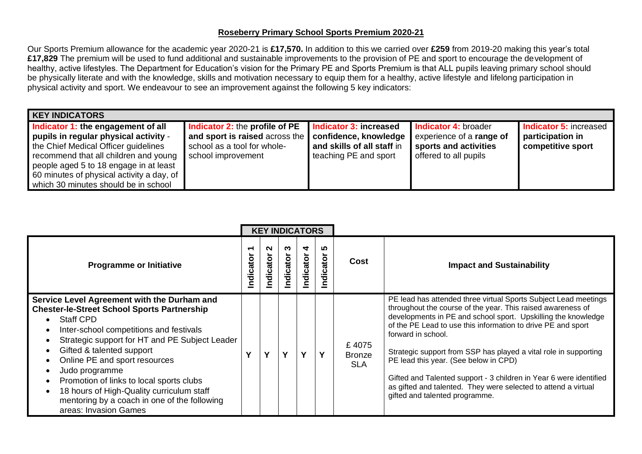## **Roseberry Primary School Sports Premium 2020-21**

Our Sports Premium allowance for the academic year 2020-21 is **£17,570.** In addition to this we carried over **£259** from 2019-20 making this year's total **£17,829** The premium will be used to fund additional and sustainable improvements to the provision of PE and sport to encourage the development of healthy, active lifestyles. The Department for Education's vision for the Primary PE and Sports Premium is that ALL pupils leaving primary school should be physically literate and with the knowledge, skills and motivation necessary to equip them for a healthy, active lifestyle and lifelong participation in physical activity and sport. We endeavour to see an improvement against the following 5 key indicators:

| <b>KEY INDICATORS</b>                                                                                                                                                                                                                                                                       |                                                                                                                       |                                                                                                        |                                                                                                           |                                                                 |  |  |  |  |  |  |  |  |
|---------------------------------------------------------------------------------------------------------------------------------------------------------------------------------------------------------------------------------------------------------------------------------------------|-----------------------------------------------------------------------------------------------------------------------|--------------------------------------------------------------------------------------------------------|-----------------------------------------------------------------------------------------------------------|-----------------------------------------------------------------|--|--|--|--|--|--|--|--|
| Indicator 1: the engagement of all<br>pupils in regular physical activity -<br>the Chief Medical Officer guidelines<br>recommend that all children and young<br>people aged 5 to 18 engage in at least<br>60 minutes of physical activity a day, of<br>which 30 minutes should be in school | Indicator 2: the profile of PE<br>and sport is raised across the<br>school as a tool for whole-<br>school improvement | Indicator 3: increased<br>confidence, knowledge<br>and skills of all staff in<br>teaching PE and sport | <b>Indicator 4: broader</b><br>experience of a range of<br>sports and activities<br>offered to all pupils | Indicator 5: increased<br>participation in<br>competitive sport |  |  |  |  |  |  |  |  |

|                                                                                                                                                                                                                                                                                                                                                                                                                                                                      | <b>KEY INDICATORS</b> |               |                |                |               |                                      |                                                                                                                                                                                                                                                                                                                                                                                                                                                                                                                                                                              |
|----------------------------------------------------------------------------------------------------------------------------------------------------------------------------------------------------------------------------------------------------------------------------------------------------------------------------------------------------------------------------------------------------------------------------------------------------------------------|-----------------------|---------------|----------------|----------------|---------------|--------------------------------------|------------------------------------------------------------------------------------------------------------------------------------------------------------------------------------------------------------------------------------------------------------------------------------------------------------------------------------------------------------------------------------------------------------------------------------------------------------------------------------------------------------------------------------------------------------------------------|
| <b>Programme or Initiative</b>                                                                                                                                                                                                                                                                                                                                                                                                                                       | ↽<br>Indicator        | N<br>ndicator | ო<br>Indicator | 4<br>Indicator | ഥ<br>ndicator | Cost                                 | <b>Impact and Sustainability</b>                                                                                                                                                                                                                                                                                                                                                                                                                                                                                                                                             |
| Service Level Agreement with the Durham and<br><b>Chester-le-Street School Sports Partnership</b><br><b>Staff CPD</b><br>Inter-school competitions and festivals<br>Strategic support for HT and PE Subject Leader<br>Gifted & talented support<br>Online PE and sport resources<br>Judo programme<br>Promotion of links to local sports clubs<br>18 hours of High-Quality curriculum staff<br>mentoring by a coach in one of the following<br>areas: Invasion Games | V                     | v             | Υ              | $\mathbf v$    | Y             | £4075<br><b>Bronze</b><br><b>SLA</b> | PE lead has attended three virtual Sports Subject Lead meetings<br>throughout the course of the year. This raised awareness of<br>developments in PE and school sport. Upskilling the knowledge<br>of the PE Lead to use this information to drive PE and sport<br>forward in school.<br>Strategic support from SSP has played a vital role in supporting<br>PE lead this year. (See below in CPD)<br>Gifted and Talented support - 3 children in Year 6 were identified<br>as gifted and talented. They were selected to attend a virtual<br>gifted and talented programme. |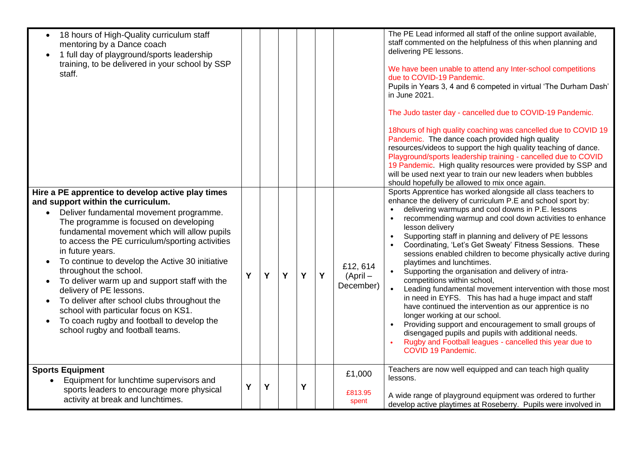| 18 hours of High-Quality curriculum staff<br>mentoring by a Dance coach<br>1 full day of playground/sports leadership<br>training, to be delivered in your school by SSP<br>staff.                                                                                                                                                                                                                                                                                                                                                                                                                                                                  |   |   |   |   |   |                               | The PE Lead informed all staff of the online support available,<br>staff commented on the helpfulness of this when planning and<br>delivering PE lessons.<br>We have been unable to attend any Inter-school competitions<br>due to COVID-19 Pandemic.<br>Pupils in Years 3, 4 and 6 competed in virtual 'The Durham Dash'<br>in June 2021.<br>The Judo taster day - cancelled due to COVID-19 Pandemic.<br>18hours of high quality coaching was cancelled due to COVID 19<br>Pandemic. The dance coach provided high quality<br>resources/videos to support the high quality teaching of dance.<br>Playground/sports leadership training - cancelled due to COVID<br>19 Pandemic. High quality resources were provided by SSP and<br>will be used next year to train our new leaders when bubbles<br>should hopefully be allowed to mix once again.                                                                                                                                                                   |
|-----------------------------------------------------------------------------------------------------------------------------------------------------------------------------------------------------------------------------------------------------------------------------------------------------------------------------------------------------------------------------------------------------------------------------------------------------------------------------------------------------------------------------------------------------------------------------------------------------------------------------------------------------|---|---|---|---|---|-------------------------------|-----------------------------------------------------------------------------------------------------------------------------------------------------------------------------------------------------------------------------------------------------------------------------------------------------------------------------------------------------------------------------------------------------------------------------------------------------------------------------------------------------------------------------------------------------------------------------------------------------------------------------------------------------------------------------------------------------------------------------------------------------------------------------------------------------------------------------------------------------------------------------------------------------------------------------------------------------------------------------------------------------------------------|
| Hire a PE apprentice to develop active play times<br>and support within the curriculum.<br>Deliver fundamental movement programme.<br>$\bullet$<br>The programme is focused on developing<br>fundamental movement which will allow pupils<br>to access the PE curriculum/sporting activities<br>in future years.<br>To continue to develop the Active 30 initiative<br>throughout the school.<br>To deliver warm up and support staff with the<br>delivery of PE lessons.<br>To deliver after school clubs throughout the<br>school with particular focus on KS1.<br>To coach rugby and football to develop the<br>school rugby and football teams. | Y | Y | Y | Y | Y | £12,614<br>(Apri<br>December) | Sports Apprentice has worked alongside all class teachers to<br>enhance the delivery of curriculum P.E and school sport by:<br>delivering warmups and cool downs in P.E. lessons<br>recommending warmup and cool down activities to enhance<br>$\bullet$<br>lesson delivery<br>Supporting staff in planning and delivery of PE lessons<br>Coordinating, 'Let's Get Sweaty' Fitness Sessions. These<br>sessions enabled children to become physically active during<br>playtimes and lunchtimes.<br>Supporting the organisation and delivery of intra-<br>competitions within school,<br>$\bullet$<br>Leading fundamental movement intervention with those most<br>in need in EYFS. This has had a huge impact and staff<br>have continued the intervention as our apprentice is no<br>longer working at our school.<br>Providing support and encouragement to small groups of<br>disengaged pupils and pupils with additional needs.<br>Rugby and Football leagues - cancelled this year due to<br>COVID 19 Pandemic. |
| <b>Sports Equipment</b><br>Equipment for lunchtime supervisors and<br>sports leaders to encourage more physical<br>activity at break and lunchtimes.                                                                                                                                                                                                                                                                                                                                                                                                                                                                                                | Y | Y |   | Y |   | £1,000<br>£813.95<br>spent    | Teachers are now well equipped and can teach high quality<br>lessons.<br>A wide range of playground equipment was ordered to further<br>develop active playtimes at Roseberry. Pupils were involved in                                                                                                                                                                                                                                                                                                                                                                                                                                                                                                                                                                                                                                                                                                                                                                                                                |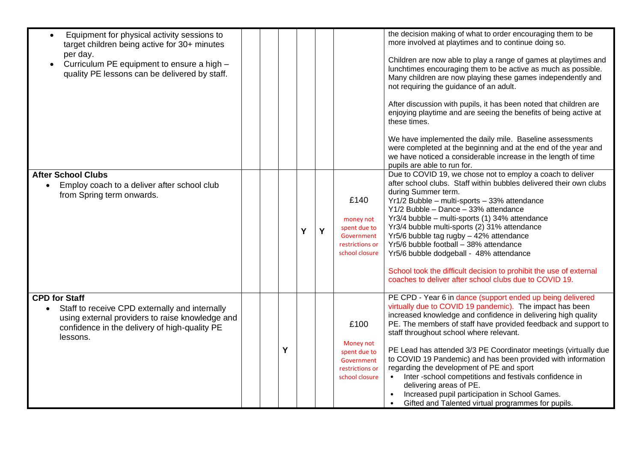| Equipment for physical activity sessions to<br>$\bullet$<br>target children being active for 30+ minutes<br>per day.<br>Curriculum PE equipment to ensure a high -<br>$\bullet$<br>quality PE lessons can be delivered by staff. |  |   |   |   |                                                                                      | the decision making of what to order encouraging them to be<br>more involved at playtimes and to continue doing so.<br>Children are now able to play a range of games at playtimes and<br>lunchtimes encouraging them to be active as much as possible.<br>Many children are now playing these games independently and<br>not requiring the guidance of an adult.<br>After discussion with pupils, it has been noted that children are<br>enjoying playtime and are seeing the benefits of being active at<br>these times.<br>We have implemented the daily mile. Baseline assessments<br>were completed at the beginning and at the end of the year and<br>we have noticed a considerable increase in the length of time<br>pupils are able to run for. |
|----------------------------------------------------------------------------------------------------------------------------------------------------------------------------------------------------------------------------------|--|---|---|---|--------------------------------------------------------------------------------------|----------------------------------------------------------------------------------------------------------------------------------------------------------------------------------------------------------------------------------------------------------------------------------------------------------------------------------------------------------------------------------------------------------------------------------------------------------------------------------------------------------------------------------------------------------------------------------------------------------------------------------------------------------------------------------------------------------------------------------------------------------|
| <b>After School Clubs</b><br>Employ coach to a deliver after school club<br>from Spring term onwards.                                                                                                                            |  |   | Y | Y | £140<br>money not<br>spent due to<br>Government<br>restrictions or<br>school closure | Due to COVID 19, we chose not to employ a coach to deliver<br>after school clubs. Staff within bubbles delivered their own clubs<br>during Summer term.<br>Yr1/2 Bubble - multi-sports - 33% attendance<br>Y1/2 Bubble - Dance - 33% attendance<br>Yr3/4 bubble - multi-sports (1) 34% attendance<br>Yr3/4 bubble multi-sports (2) 31% attendance<br>Yr5/6 bubble tag rugby - 42% attendance<br>Yr5/6 bubble football - 38% attendance<br>Yr5/6 bubble dodgeball - 48% attendance<br>School took the difficult decision to prohibit the use of external<br>coaches to deliver after school clubs due to COVID 19.                                                                                                                                        |
| <b>CPD for Staff</b><br>Staff to receive CPD externally and internally<br>using external providers to raise knowledge and<br>confidence in the delivery of high-quality PE<br>lessons.                                           |  | Y |   |   | £100<br>Money not<br>spent due to<br>Government<br>restrictions or<br>school closure | PE CPD - Year 6 in dance (support ended up being delivered<br>virtually due to COVID 19 pandemic). The impact has been<br>increased knowledge and confidence in delivering high quality<br>PE. The members of staff have provided feedback and support to<br>staff throughout school where relevant.<br>PE Lead has attended 3/3 PE Coordinator meetings (virtually due<br>to COVID 19 Pandemic) and has been provided with information<br>regarding the development of PE and sport<br>• Inter-school competitions and festivals confidence in<br>delivering areas of PE.<br>Increased pupil participation in School Games.<br>Gifted and Talented virtual programmes for pupils.                                                                       |